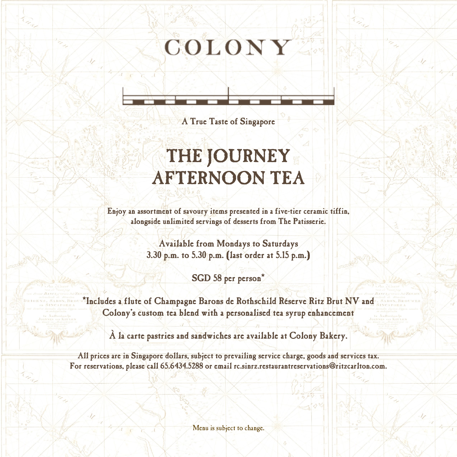# COLONY

A True Taste of Singapore

 $\overline{\phantom{a}}$ 

## THE JOURNEY AFTERNOON TEA

 Enjoy an assortment of savoury items presented in a five-tier ceramic tiffin, alongside unlimited servings of desserts from The Patisserie.

> Available from Mondays to Saturdays 3.30 p.m. to 5.30 p.m. (last order at 5.15 p.m.)

> > SGD 58 per person<sup>\*</sup>

\*Includes a flute of Champagne Barons de Rothschild Réserve Ritz Brut NV and Colony's custom tea blend with a personalised tea syrup enhancement

À la carte pastries and sandwiches are available at Colony Bakery.

All prices are in Singapore dollars, subject to prevailing service charge, goods and services tax. For reservations, please call 65.6434.5288 or email rc.sinrz.restaurantreservations@ritzcarlton.com.

Menu is subject to change.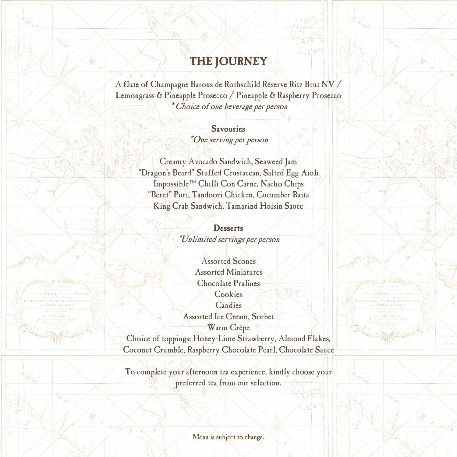### THE JOURNEY

A flute of Champagne Barons de Rothschild Réserve Ritz Brut NV / Lemongrass & Pineapple Prosecco / Pineapple & Raspberry Prosecco \* Choice of one beverage per person

> Savouries \*One serving per person

Creamy Avocado Sandwich, Seaweed Jam "Dragon's Beard" Stuffed Crustacean, Salted Egg Aioli Impossible™ Chilli Con Carne, Nacho Chips "Beret" Puri, Tandoori Chicken, Cucumber Raita King Crab Sandwich, Tamarind Hoisin Sauce

> **Desserts** \*Unlimited servings per person

Assorted Scones Assorted Miniatures Chocolate Pralines **Cookies Candies** Assorted Ice Cream, Sorbet Warm Crêpe

Choice of toppings: Honey-Lime Strawberry, Almond Flakes, Coconut Crumble, Raspberry Chocolate Pearl, Chocolate Sauce

To complete your afternoon tea experience, kindly choose your preferred tea from our selection.

Menu is subject to change.